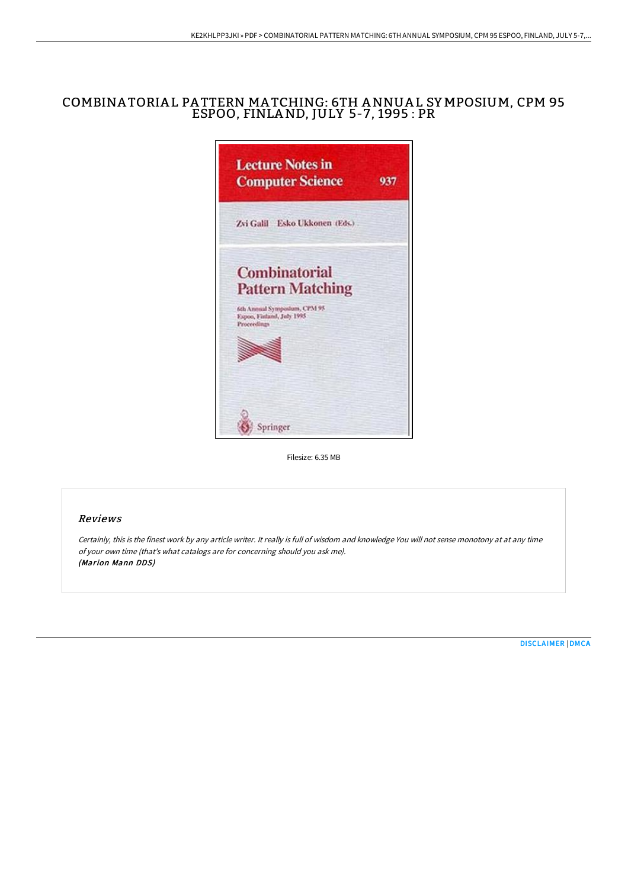# COMBINA TORIA L PA TTERN MA TCHING: 6TH ANNUA L SY MPOSIUM, CPM 95 ESPOO, FINLAND, JULY 5-7, 1995 : PR



Filesize: 6.35 MB

### Reviews

Certainly, this is the finest work by any article writer. It really is full of wisdom and knowledge You will not sense monotony at at any time of your own time (that's what catalogs are for concerning should you ask me). (Marion Mann DDS)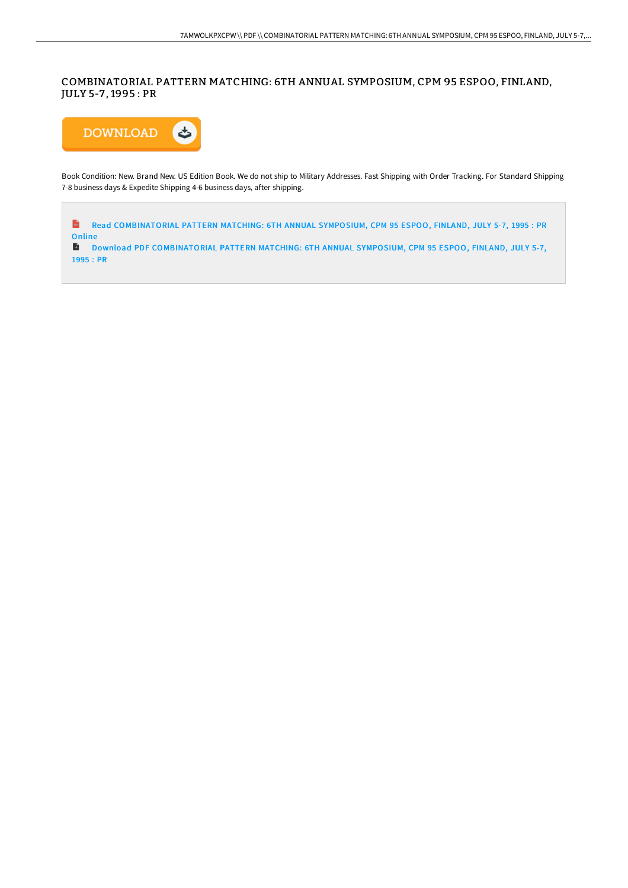## COMBINATORIAL PATTERN MATCHING: 6TH ANNUAL SYMPOSIUM, CPM 95 ESPOO, FINLAND, JULY 5-7 , 1995 : PR



Book Condition: New. Brand New. US Edition Book. We do not ship to Military Addresses. Fast Shipping with Order Tracking. For Standard Shipping 7-8 business days & Expedite Shipping 4-6 business days, after shipping.

 $\frac{1}{16}$ Read [COMBINATORIAL](http://techno-pub.tech/combinatorial-pattern-matching-6th-annual-sympos.html) PATTERN MATCHING: 6TH ANNUAL SYMPOSIUM, CPM 95 ESPOO, FINLAND, JULY 5-7, 1995 : PR **Online** 

D Download PDF [COMBINATORIAL](http://techno-pub.tech/combinatorial-pattern-matching-6th-annual-sympos.html) PATTERN MATCHING: 6TH ANNUAL SYMPOSIUM, CPM 95 ESPOO, FINLAND, JULY 5-7, 1995 : PR